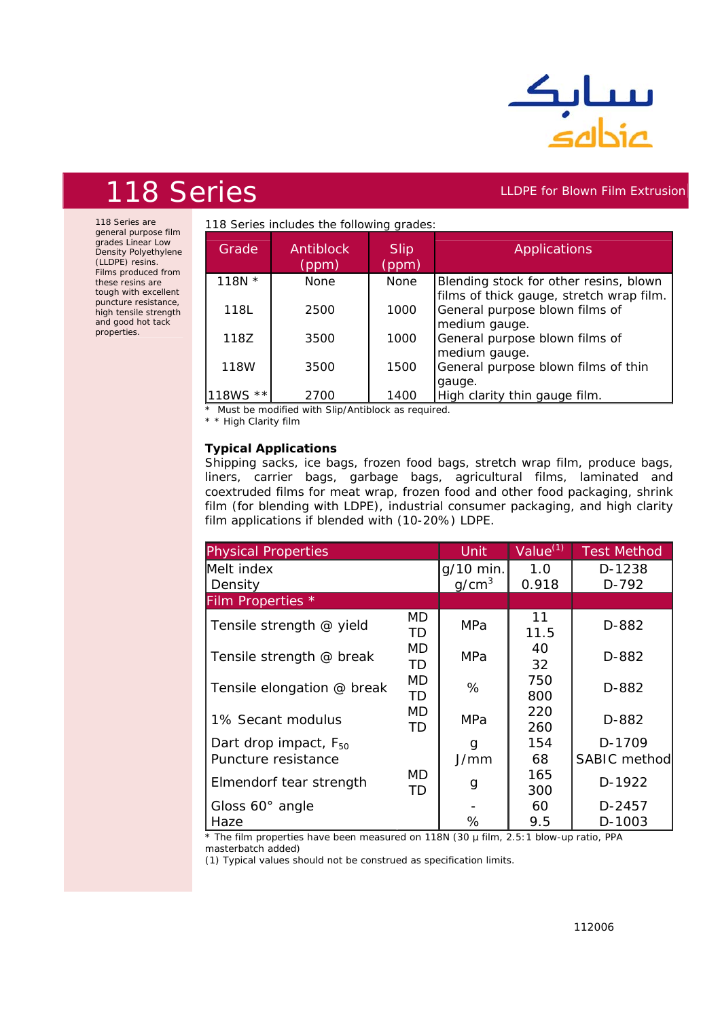

## 118 Series **LLDPE for Blown Film Extrusion**

118 Series are general purpose film grades Linear Low Density Polyethylene (LLDPE) resins. Films produced from these resins are tough with excellent puncture resistance, high tensile strength and good hot tack properties.

| Grade                 | <b>Antiblock</b><br>(ppm) | <b>Slip</b><br>(ppm) | <b>Applications</b>                                                                |
|-----------------------|---------------------------|----------------------|------------------------------------------------------------------------------------|
| 118N $*$              | <b>None</b>               | <b>None</b>          | Blending stock for other resins, blown<br>films of thick gauge, stretch wrap film. |
| 118L                  | 2500                      | 1000                 | General purpose blown films of<br>medium gauge.                                    |
| 118Z                  | 3500                      | 1000                 | General purpose blown films of                                                     |
| 118W                  | 3500                      | 1500                 | medium gauge.<br>General purpose blown films of thin                               |
| $\star \star$<br>18WS | 2700                      | 1400                 | gauge.<br>High clarity thin gauge film.                                            |

*\* Must be modified with Slip/Antiblock as required.*

*\* \* High Clarity film*

## **Typical Applications**

Shipping sacks, ice bags, frozen food bags, stretch wrap film, produce bags, liners, carrier bags, garbage bags, agricultural films, laminated and coextruded films for meat wrap, frozen food and other food packaging, shrink film (for blending with LDPE), industrial consumer packaging, and high clarity film applications if blended with (10-20%) LDPE.

| <b>Physical Properties</b>                               | Unit                           | $Value^{(1)}$ | <b>Test Method</b> |                               |
|----------------------------------------------------------|--------------------------------|---------------|--------------------|-------------------------------|
| Melt index<br>Density                                    | g/10 min.<br>q/cm <sup>3</sup> | 1.0<br>0.918  | D-1238<br>D-792    |                               |
| Film Properties *                                        |                                |               |                    |                               |
| Tensile strength @ yield                                 | MD<br>TD                       | <b>MPa</b>    | 11<br>11.5         | D-882                         |
| Tensile strength @ break                                 | MD<br>TD                       | MPa           | 40<br>32           | D-882                         |
| Tensile elongation @ break                               | <b>MD</b><br><b>TD</b>         | %             | 750<br>800         | D-882                         |
| 1% Secant modulus                                        | <b>MD</b><br>TD                | MPa           | 220<br>260         | D-882                         |
| Dart drop impact, F <sub>50</sub><br>Puncture resistance |                                | g<br>J/mm     | 154<br>68          | D-1709<br><b>SABIC method</b> |
| Elmendorf tear strength                                  | MD<br>TD                       | g             | 165<br>300         | D-1922                        |
| Gloss 60° angle                                          |                                |               | 60                 | D-2457                        |
| Haze                                                     |                                | %             | 9.5                | D-1003                        |

*\* The film properties have been measured on 118N (30 µ film, 2.5:1 blow-up ratio, PPA masterbatch added)* 

*(1) Typical values should not be construed as specification limits.*